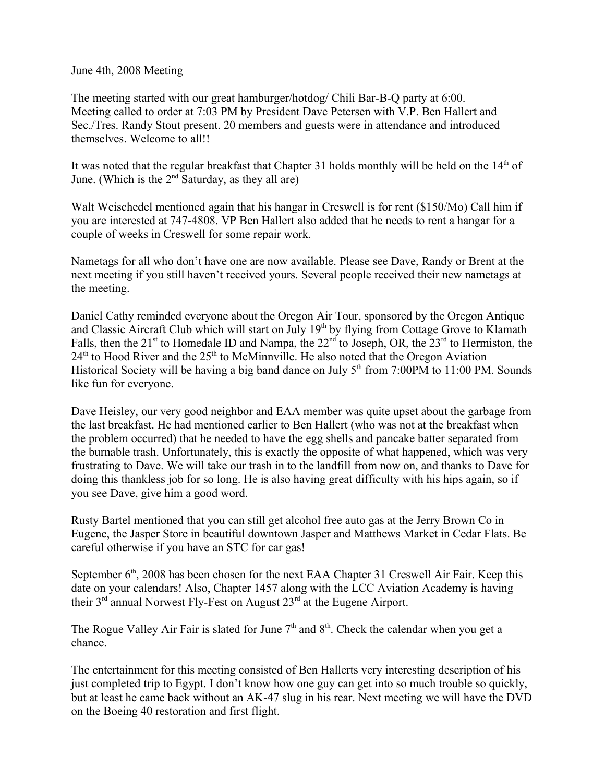June 4th, 2008 Meeting

The meeting started with our great hamburger/hotdog/ Chili Bar-B-Q party at 6:00. Meeting called to order at 7:03 PM by President Dave Petersen with V.P. Ben Hallert and Sec./Tres. Randy Stout present. 20 members and guests were in attendance and introduced themselves. Welcome to all!!

It was noted that the regular breakfast that Chapter 31 holds monthly will be held on the  $14<sup>th</sup>$  of June. (Which is the  $2<sup>nd</sup>$  Saturday, as they all are)

Walt Weischedel mentioned again that his hangar in Creswell is for rent (\$150/Mo) Call him if you are interested at 747-4808. VP Ben Hallert also added that he needs to rent a hangar for a couple of weeks in Creswell for some repair work.

Nametags for all who don't have one are now available. Please see Dave, Randy or Brent at the next meeting if you still haven't received yours. Several people received their new nametags at the meeting.

Daniel Cathy reminded everyone about the Oregon Air Tour, sponsored by the Oregon Antique and Classic Aircraft Club which will start on July 19<sup>th</sup> by flying from Cottage Grove to Klamath Falls, then the 21<sup>st</sup> to Homedale ID and Nampa, the  $22<sup>nd</sup>$  to Joseph, OR, the  $23<sup>rd</sup>$  to Hermiston, the  $24<sup>th</sup>$  to Hood River and the  $25<sup>th</sup>$  to McMinnville. He also noted that the Oregon Aviation Historical Society will be having a big band dance on July  $5<sup>th</sup>$  from 7:00PM to 11:00 PM. Sounds like fun for everyone.

Dave Heisley, our very good neighbor and EAA member was quite upset about the garbage from the last breakfast. He had mentioned earlier to Ben Hallert (who was not at the breakfast when the problem occurred) that he needed to have the egg shells and pancake batter separated from the burnable trash. Unfortunately, this is exactly the opposite of what happened, which was very frustrating to Dave. We will take our trash in to the landfill from now on, and thanks to Dave for doing this thankless job for so long. He is also having great difficulty with his hips again, so if you see Dave, give him a good word.

Rusty Bartel mentioned that you can still get alcohol free auto gas at the Jerry Brown Co in Eugene, the Jasper Store in beautiful downtown Jasper and Matthews Market in Cedar Flats. Be careful otherwise if you have an STC for car gas!

September  $6<sup>th</sup>$ , 2008 has been chosen for the next EAA Chapter 31 Creswell Air Fair. Keep this date on your calendars! Also, Chapter 1457 along with the LCC Aviation Academy is having their  $3<sup>rd</sup>$  annual Norwest Fly-Fest on August  $23<sup>rd</sup>$  at the Eugene Airport.

The Rogue Valley Air Fair is slated for June  $7<sup>th</sup>$  and  $8<sup>th</sup>$ . Check the calendar when you get a chance.

The entertainment for this meeting consisted of Ben Hallerts very interesting description of his just completed trip to Egypt. I don't know how one guy can get into so much trouble so quickly, but at least he came back without an AK-47 slug in his rear. Next meeting we will have the DVD on the Boeing 40 restoration and first flight.